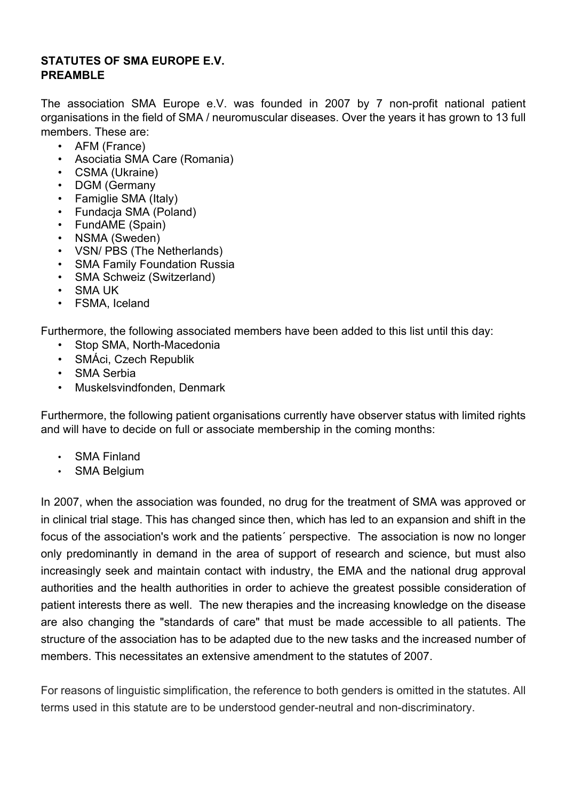# **STATUTES OF SMA EUROPE E.V. PREAMBLE**

The association SMA Europe e.V. was founded in 2007 by 7 non-profit national patient organisations in the field of SMA / neuromuscular diseases. Over the years it has grown to 13 full members. These are:

- AFM (France)
- Asociatia SMA Care (Romania)
- CSMA (Ukraine)
- DGM (Germany
- Famiglie SMA (Italy)
- Fundacja SMA (Poland)
- FundAME (Spain)
- NSMA (Sweden)
- VSN/ PBS (The Netherlands)
- SMA Family Foundation Russia
- SMA Schweiz (Switzerland)
- SMA UK
- FSMA, Iceland

Furthermore, the following associated members have been added to this list until this day:

- Stop SMA, North-Macedonia
- SMÁci, Czech Republik
- SMA Serbia
- Muskelsvindfonden, Denmark

Furthermore, the following patient organisations currently have observer status with limited rights and will have to decide on full or associate membership in the coming months:

- SMA Finland
- SMA Belgium

In 2007, when the association was founded, no drug for the treatment of SMA was approved or in clinical trial stage. This has changed since then, which has led to an expansion and shift in the focus of the association's work and the patients´ perspective. The association is now no longer only predominantly in demand in the area of support of research and science, but must also increasingly seek and maintain contact with industry, the EMA and the national drug approval authorities and the health authorities in order to achieve the greatest possible consideration of patient interests there as well. The new therapies and the increasing knowledge on the disease are also changing the "standards of care" that must be made accessible to all patients. The structure of the association has to be adapted due to the new tasks and the increased number of members. This necessitates an extensive amendment to the statutes of 2007.

For reasons of linguistic simplification, the reference to both genders is omitted in the statutes. All terms used in this statute are to be understood gender-neutral and non-discriminatory.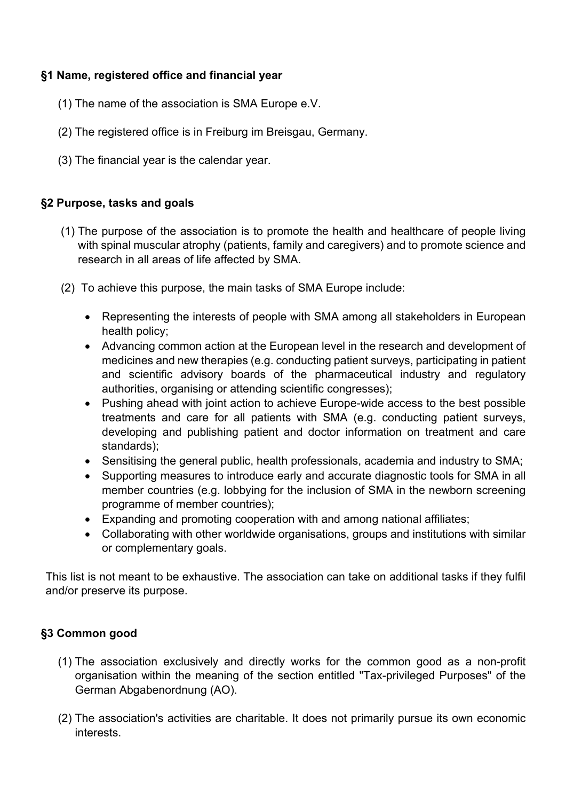## **§1 Name, registered office and financial year**

- (1) The name of the association is SMA Europe e.V.
- (2) The registered office is in Freiburg im Breisgau, Germany.
- (3) The financial year is the calendar year.

# **§2 Purpose, tasks and goals**

- (1) The purpose of the association is to promote the health and healthcare of people living with spinal muscular atrophy (patients, family and caregivers) and to promote science and research in all areas of life affected by SMA.
- (2) To achieve this purpose, the main tasks of SMA Europe include:
	- Representing the interests of people with SMA among all stakeholders in European health policy;
	- Advancing common action at the European level in the research and development of medicines and new therapies (e.g. conducting patient surveys, participating in patient and scientific advisory boards of the pharmaceutical industry and regulatory authorities, organising or attending scientific congresses);
	- Pushing ahead with joint action to achieve Europe-wide access to the best possible treatments and care for all patients with SMA (e.g. conducting patient surveys, developing and publishing patient and doctor information on treatment and care standards);
	- Sensitising the general public, health professionals, academia and industry to SMA;
	- Supporting measures to introduce early and accurate diagnostic tools for SMA in all member countries (e.g. lobbying for the inclusion of SMA in the newborn screening programme of member countries);
	- Expanding and promoting cooperation with and among national affiliates;
	- Collaborating with other worldwide organisations, groups and institutions with similar or complementary goals.

This list is not meant to be exhaustive. The association can take on additional tasks if they fulfil and/or preserve its purpose.

# **§3 Common good**

- (1) The association exclusively and directly works for the common good as a non-profit organisation within the meaning of the section entitled "Tax-privileged Purposes" of the German Abgabenordnung (AO).
- (2) The association's activities are charitable. It does not primarily pursue its own economic interests.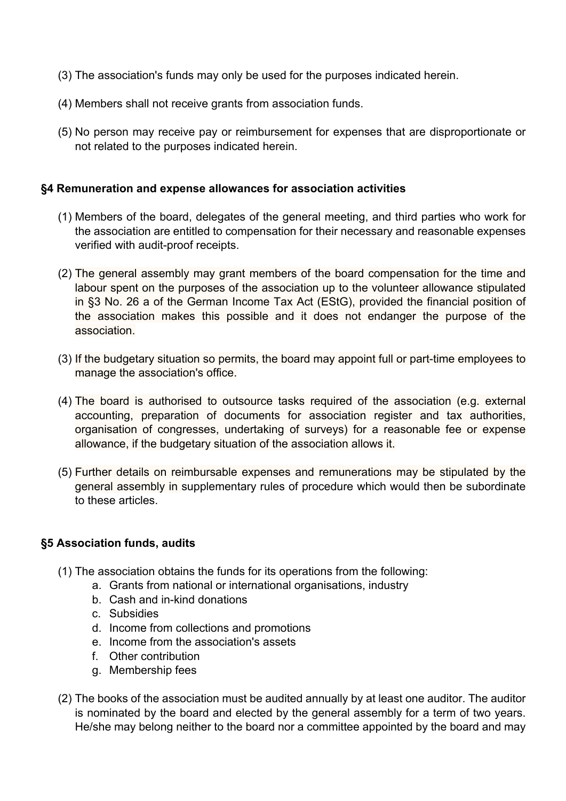- (3) The association's funds may only be used for the purposes indicated herein.
- (4) Members shall not receive grants from association funds.
- (5) No person may receive pay or reimbursement for expenses that are disproportionate or not related to the purposes indicated herein.

#### **§4 Remuneration and expense allowances for association activities**

- (1) Members of the board, delegates of the general meeting, and third parties who work for the association are entitled to compensation for their necessary and reasonable expenses verified with audit-proof receipts.
- (2) The general assembly may grant members of the board compensation for the time and labour spent on the purposes of the association up to the volunteer allowance stipulated in §3 No. 26 a of the German Income Tax Act (EStG), provided the financial position of the association makes this possible and it does not endanger the purpose of the association.
- (3) If the budgetary situation so permits, the board may appoint full or part-time employees to manage the association's office.
- (4) The board is authorised to outsource tasks required of the association (e.g. external accounting, preparation of documents for association register and tax authorities, organisation of congresses, undertaking of surveys) for a reasonable fee or expense allowance, if the budgetary situation of the association allows it.
- (5) Further details on reimbursable expenses and remunerations may be stipulated by the general assembly in supplementary rules of procedure which would then be subordinate to these articles.

#### **§5 Association funds, audits**

- (1) The association obtains the funds for its operations from the following:
	- a. Grants from national or international organisations, industry
	- b. Cash and in-kind donations
	- c. Subsidies
	- d. Income from collections and promotions
	- e. Income from the association's assets
	- f. Other contribution
	- g. Membership fees
- (2) The books of the association must be audited annually by at least one auditor. The auditor is nominated by the board and elected by the general assembly for a term of two years. He/she may belong neither to the board nor a committee appointed by the board and may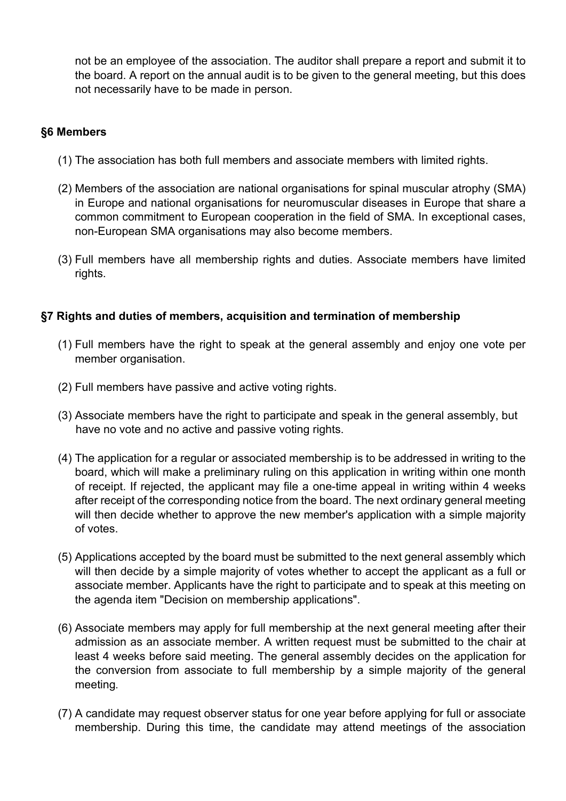not be an employee of the association. The auditor shall prepare a report and submit it to the board. A report on the annual audit is to be given to the general meeting, but this does not necessarily have to be made in person.

## **§6 Members**

- (1) The association has both full members and associate members with limited rights.
- (2) Members of the association are national organisations for spinal muscular atrophy (SMA) in Europe and national organisations for neuromuscular diseases in Europe that share a common commitment to European cooperation in the field of SMA. In exceptional cases, non-European SMA organisations may also become members.
- (3) Full members have all membership rights and duties. Associate members have limited rights.

### **§7 Rights and duties of members, acquisition and termination of membership**

- (1) Full members have the right to speak at the general assembly and enjoy one vote per member organisation.
- (2) Full members have passive and active voting rights.
- (3) Associate members have the right to participate and speak in the general assembly, but have no vote and no active and passive voting rights.
- (4) The application for a regular or associated membership is to be addressed in writing to the board, which will make a preliminary ruling on this application in writing within one month of receipt. If rejected, the applicant may file a one-time appeal in writing within 4 weeks after receipt of the corresponding notice from the board. The next ordinary general meeting will then decide whether to approve the new member's application with a simple majority of votes.
- (5) Applications accepted by the board must be submitted to the next general assembly which will then decide by a simple majority of votes whether to accept the applicant as a full or associate member. Applicants have the right to participate and to speak at this meeting on the agenda item "Decision on membership applications".
- (6) Associate members may apply for full membership at the next general meeting after their admission as an associate member. A written request must be submitted to the chair at least 4 weeks before said meeting. The general assembly decides on the application for the conversion from associate to full membership by a simple majority of the general meeting.
- (7) A candidate may request observer status for one year before applying for full or associate membership. During this time, the candidate may attend meetings of the association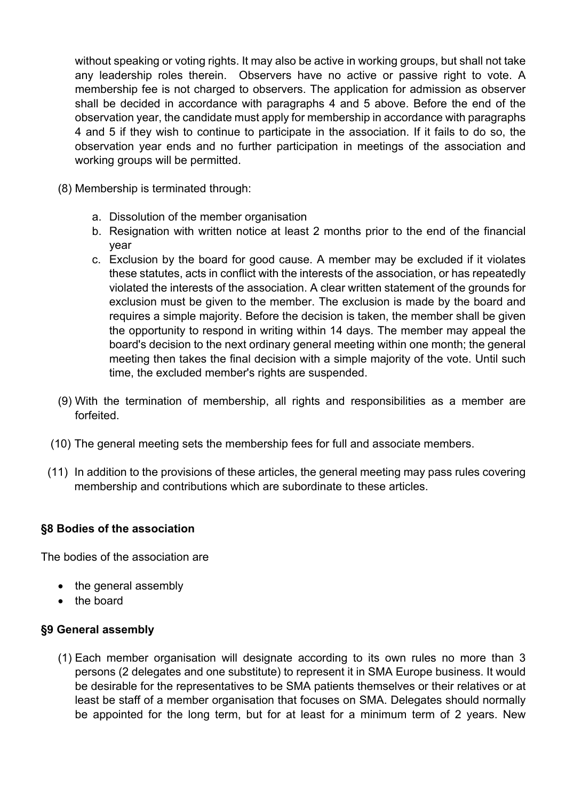without speaking or voting rights. It may also be active in working groups, but shall not take any leadership roles therein. Observers have no active or passive right to vote. A membership fee is not charged to observers. The application for admission as observer shall be decided in accordance with paragraphs 4 and 5 above. Before the end of the observation year, the candidate must apply for membership in accordance with paragraphs 4 and 5 if they wish to continue to participate in the association. If it fails to do so, the observation year ends and no further participation in meetings of the association and working groups will be permitted.

- (8) Membership is terminated through:
	- a. Dissolution of the member organisation
	- b. Resignation with written notice at least 2 months prior to the end of the financial year
	- c. Exclusion by the board for good cause. A member may be excluded if it violates these statutes, acts in conflict with the interests of the association, or has repeatedly violated the interests of the association. A clear written statement of the grounds for exclusion must be given to the member. The exclusion is made by the board and requires a simple majority. Before the decision is taken, the member shall be given the opportunity to respond in writing within 14 days. The member may appeal the board's decision to the next ordinary general meeting within one month; the general meeting then takes the final decision with a simple majority of the vote. Until such time, the excluded member's rights are suspended.
- (9) With the termination of membership, all rights and responsibilities as a member are forfeited.
- (10) The general meeting sets the membership fees for full and associate members.
- (11) In addition to the provisions of these articles, the general meeting may pass rules covering membership and contributions which are subordinate to these articles.

#### **§8 Bodies of the association**

The bodies of the association are

- the general assembly
- the board

#### **§9 General assembly**

(1) Each member organisation will designate according to its own rules no more than 3 persons (2 delegates and one substitute) to represent it in SMA Europe business. It would be desirable for the representatives to be SMA patients themselves or their relatives or at least be staff of a member organisation that focuses on SMA. Delegates should normally be appointed for the long term, but for at least for a minimum term of 2 years. New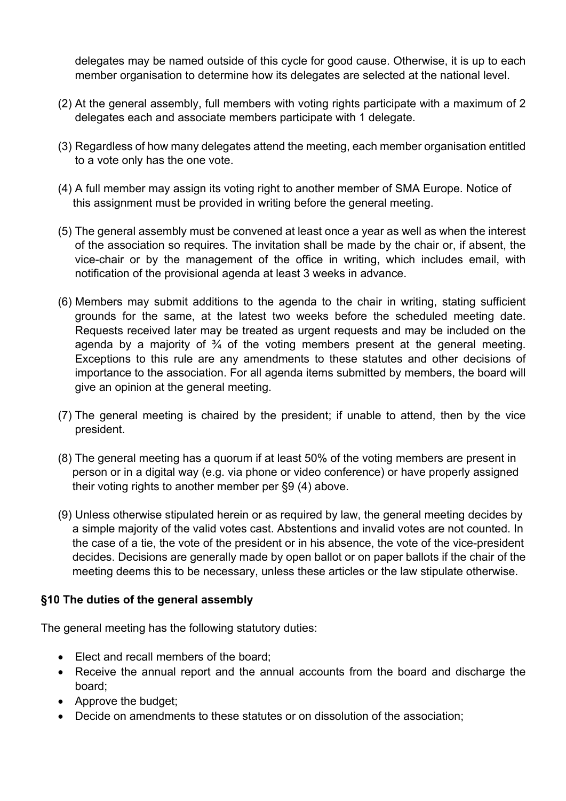delegates may be named outside of this cycle for good cause. Otherwise, it is up to each member organisation to determine how its delegates are selected at the national level.

- (2) At the general assembly, full members with voting rights participate with a maximum of 2 delegates each and associate members participate with 1 delegate.
- (3) Regardless of how many delegates attend the meeting, each member organisation entitled to a vote only has the one vote.
- (4) A full member may assign its voting right to another member of SMA Europe. Notice of this assignment must be provided in writing before the general meeting.
- (5) The general assembly must be convened at least once a year as well as when the interest of the association so requires. The invitation shall be made by the chair or, if absent, the vice-chair or by the management of the office in writing, which includes email, with notification of the provisional agenda at least 3 weeks in advance.
- (6) Members may submit additions to the agenda to the chair in writing, stating sufficient grounds for the same, at the latest two weeks before the scheduled meeting date. Requests received later may be treated as urgent requests and may be included on the agenda by a majority of  $\frac{3}{4}$  of the voting members present at the general meeting. Exceptions to this rule are any amendments to these statutes and other decisions of importance to the association. For all agenda items submitted by members, the board will give an opinion at the general meeting.
- (7) The general meeting is chaired by the president; if unable to attend, then by the vice president.
- (8) The general meeting has a quorum if at least 50% of the voting members are present in person or in a digital way (e.g. via phone or video conference) or have properly assigned their voting rights to another member per §9 (4) above.
- (9) Unless otherwise stipulated herein or as required by law, the general meeting decides by a simple majority of the valid votes cast. Abstentions and invalid votes are not counted. In the case of a tie, the vote of the president or in his absence, the vote of the vice-president decides. Decisions are generally made by open ballot or on paper ballots if the chair of the meeting deems this to be necessary, unless these articles or the law stipulate otherwise.

### **§10 The duties of the general assembly**

The general meeting has the following statutory duties:

- Elect and recall members of the board;
- Receive the annual report and the annual accounts from the board and discharge the board;
- Approve the budget;
- Decide on amendments to these statutes or on dissolution of the association;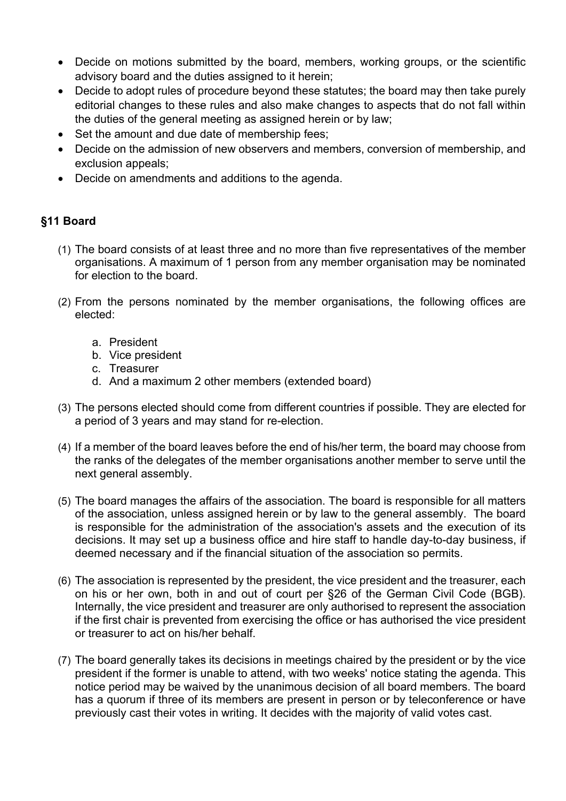- Decide on motions submitted by the board, members, working groups, or the scientific advisory board and the duties assigned to it herein;
- Decide to adopt rules of procedure beyond these statutes; the board may then take purely editorial changes to these rules and also make changes to aspects that do not fall within the duties of the general meeting as assigned herein or by law;
- Set the amount and due date of membership fees;
- Decide on the admission of new observers and members, conversion of membership, and exclusion appeals;
- Decide on amendments and additions to the agenda.

# **§11 Board**

- (1) The board consists of at least three and no more than five representatives of the member organisations. A maximum of 1 person from any member organisation may be nominated for election to the board.
- (2) From the persons nominated by the member organisations, the following offices are elected:
	- a. President
	- b. Vice president
	- c. Treasurer
	- d. And a maximum 2 other members (extended board)
- (3) The persons elected should come from different countries if possible. They are elected for a period of 3 years and may stand for re-election.
- (4) If a member of the board leaves before the end of his/her term, the board may choose from the ranks of the delegates of the member organisations another member to serve until the next general assembly.
- (5) The board manages the affairs of the association. The board is responsible for all matters of the association, unless assigned herein or by law to the general assembly. The board is responsible for the administration of the association's assets and the execution of its decisions. It may set up a business office and hire staff to handle day-to-day business, if deemed necessary and if the financial situation of the association so permits.
- (6) The association is represented by the president, the vice president and the treasurer, each on his or her own, both in and out of court per §26 of the German Civil Code (BGB). Internally, the vice president and treasurer are only authorised to represent the association if the first chair is prevented from exercising the office or has authorised the vice president or treasurer to act on his/her behalf.
- (7) The board generally takes its decisions in meetings chaired by the president or by the vice president if the former is unable to attend, with two weeks' notice stating the agenda. This notice period may be waived by the unanimous decision of all board members. The board has a quorum if three of its members are present in person or by teleconference or have previously cast their votes in writing. It decides with the majority of valid votes cast.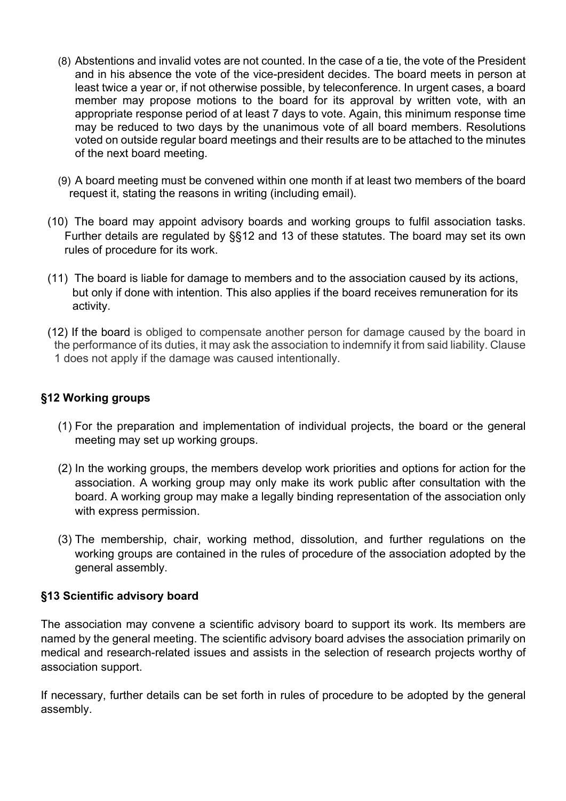- (8) Abstentions and invalid votes are not counted. In the case of a tie, the vote of the President and in his absence the vote of the vice-president decides. The board meets in person at least twice a year or, if not otherwise possible, by teleconference. In urgent cases, a board member may propose motions to the board for its approval by written vote, with an appropriate response period of at least 7 days to vote. Again, this minimum response time may be reduced to two days by the unanimous vote of all board members. Resolutions voted on outside regular board meetings and their results are to be attached to the minutes of the next board meeting.
- (9) A board meeting must be convened within one month if at least two members of the board request it, stating the reasons in writing (including email).
- (10) The board may appoint advisory boards and working groups to fulfil association tasks. Further details are regulated by §§12 and 13 of these statutes. The board may set its own rules of procedure for its work.
- (11) The board is liable for damage to members and to the association caused by its actions, but only if done with intention. This also applies if the board receives remuneration for its activity.
- (12) If the board is obliged to compensate another person for damage caused by the board in the performance of its duties, it may ask the association to indemnify it from said liability. Clause 1 does not apply if the damage was caused intentionally.

### **§12 Working groups**

- (1) For the preparation and implementation of individual projects, the board or the general meeting may set up working groups.
- (2) In the working groups, the members develop work priorities and options for action for the association. A working group may only make its work public after consultation with the board. A working group may make a legally binding representation of the association only with express permission.
- (3) The membership, chair, working method, dissolution, and further regulations on the working groups are contained in the rules of procedure of the association adopted by the general assembly.

### **§13 Scientific advisory board**

The association may convene a scientific advisory board to support its work. Its members are named by the general meeting. The scientific advisory board advises the association primarily on medical and research-related issues and assists in the selection of research projects worthy of association support.

If necessary, further details can be set forth in rules of procedure to be adopted by the general assembly.